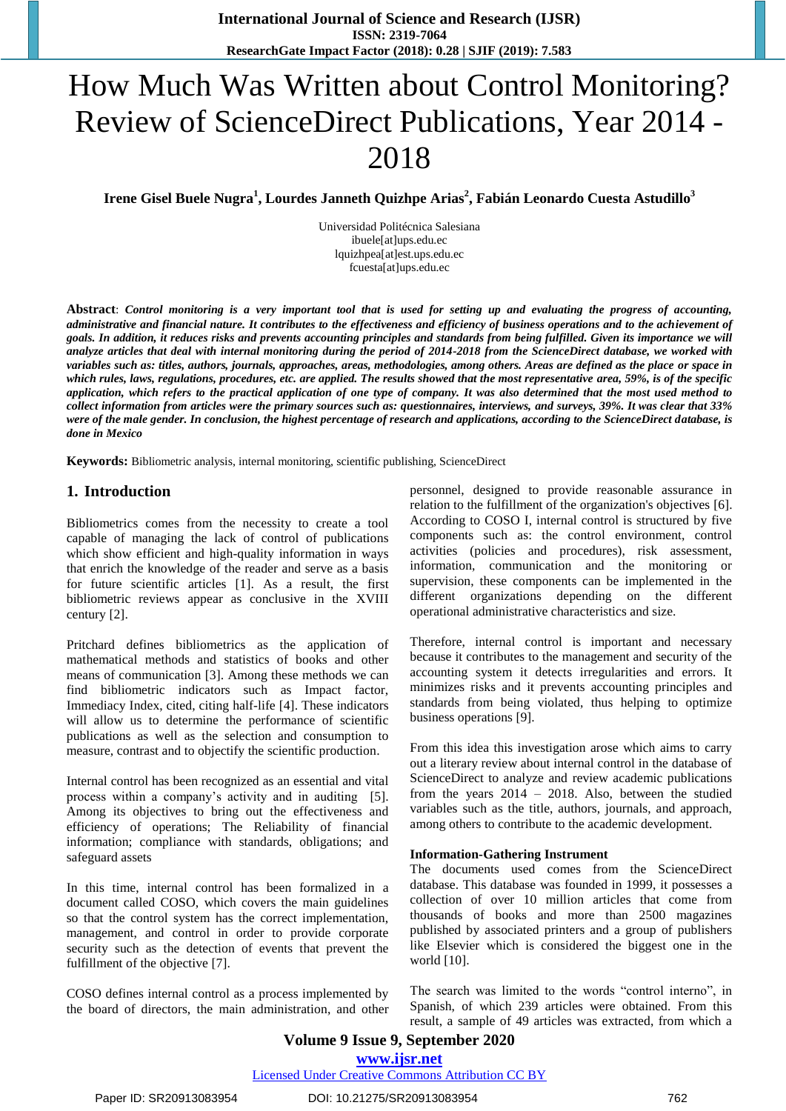# How Much Was Written about Control Monitoring? Review of ScienceDirect Publications, Year 2014 - 2018

**Irene Gisel Buele Nugra<sup>1</sup> , Lourdes Janneth Quizhpe Arias<sup>2</sup> , Fabián Leonardo Cuesta Astudillo<sup>3</sup>**

Universidad Politécnica Salesiana [ibuele\[at\]ups.edu.ec](mailto:ibuele@ups.edu.ec) [lquizhpea\[at\]est.ups.edu.ec](mailto:lquizhpea@est.ups.edu.ec) [fcuesta\[at\]ups.edu.ec](mailto:fcuesta@ups.edu.ec)

**Abstract**: *Control monitoring is a very important tool that is used for setting up and evaluating the progress of accounting, administrative and financial nature. It contributes to the effectiveness and efficiency of business operations and to the achievement of goals. In addition, it reduces risks and prevents accounting principles and standards from being fulfilled. Given its importance we will analyze articles that deal with internal monitoring during the period of 2014-2018 from the ScienceDirect database, we worked with variables such as: titles, authors, journals, approaches, areas, methodologies, among others. Areas are defined as the place or space in which rules, laws, regulations, procedures, etc. are applied. The results showed that the most representative area, 59%, is of the specific application, which refers to the practical application of one type of company. It was also determined that the most used method to collect information from articles were the primary sources such as: questionnaires, interviews, and surveys, 39%. It was clear that 33% were of the male gender. In conclusion, the highest percentage of research and applications, according to the ScienceDirect database, is done in Mexico*

**Keywords:** Bibliometric analysis, internal monitoring, scientific publishing, ScienceDirect

#### **1. Introduction**

Bibliometrics comes from the necessity to create a tool capable of managing the lack of control of publications which show efficient and high-quality information in ways that enrich the knowledge of the reader and serve as a basis for future scientific articles [1]. As a result, the first bibliometric reviews appear as conclusive in the XVIII century [2].

Pritchard defines bibliometrics as the application of mathematical methods and statistics of books and other means of communication [3]. Among these methods we can find bibliometric indicators such as Impact factor, Immediacy Index, cited, citing half-life [4]. These indicators will allow us to determine the performance of scientific publications as well as the selection and consumption to measure, contrast and to objectify the scientific production.

Internal control has been recognized as an essential and vital process within a company's activity and in auditing [5]. Among its objectives to bring out the effectiveness and efficiency of operations; The Reliability of financial information; compliance with standards, obligations; and safeguard assets

In this time, internal control has been formalized in a document called COSO, which covers the main guidelines so that the control system has the correct implementation, management, and control in order to provide corporate security such as the detection of events that prevent the fulfillment of the objective [7].

COSO defines internal control as a process implemented by the board of directors, the main administration, and other personnel, designed to provide reasonable assurance in relation to the fulfillment of the organization's objectives [6]. According to COSO I, internal control is structured by five components such as: the control environment, control activities (policies and procedures), risk assessment, information, communication and the monitoring or supervision, these components can be implemented in the different organizations depending on the different operational administrative characteristics and size.

Therefore, internal control is important and necessary because it contributes to the management and security of the accounting system it detects irregularities and errors. It minimizes risks and it prevents accounting principles and standards from being violated, thus helping to optimize business operations [9].

From this idea this investigation arose which aims to carry out a literary review about internal control in the database of ScienceDirect to analyze and review academic publications from the years 2014 – 2018. Also, between the studied variables such as the title, authors, journals, and approach, among others to contribute to the academic development.

#### **Information-Gathering Instrument**

The documents used comes from the ScienceDirect database. This database was founded in 1999, it possesses a collection of over 10 million articles that come from thousands of books and more than 2500 magazines published by associated printers and a group of publishers like Elsevier which is considered the biggest one in the world [10].

The search was limited to the words "control interno", in Spanish, of which 239 articles were obtained. From this result, a sample of 49 articles was extracted, from which a

## **Volume 9 Issue 9, September 2020 www.ijsr.net**

Licensed Under Creative Commons Attribution CC BY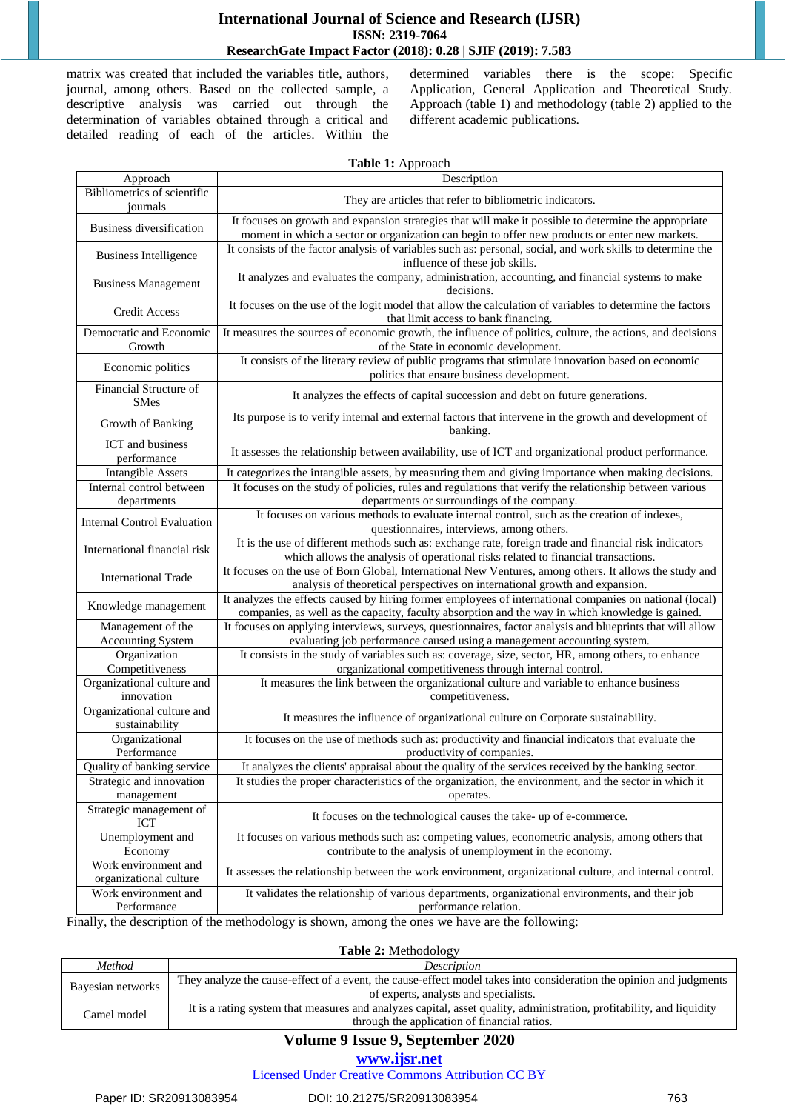#### **International Journal of Science and Research (IJSR) ISSN: 2319-7064 ResearchGate Impact Factor (2018): 0.28 | SJIF (2019): 7.583**

matrix was created that included the variables title, authors, journal, among others. Based on the collected sample, a descriptive analysis was carried out through the determination of variables obtained through a critical and detailed reading of each of the articles. Within the determined variables there is the scope: Specific Application, General Application and Theoretical Study. Approach (table 1) and methodology (table 2) applied to the different academic publications.

| Table 1: Approach                              |                                                                                                                                                                                                              |  |
|------------------------------------------------|--------------------------------------------------------------------------------------------------------------------------------------------------------------------------------------------------------------|--|
| Approach                                       | Description                                                                                                                                                                                                  |  |
| Bibliometrics of scientific<br>journals        | They are articles that refer to bibliometric indicators.                                                                                                                                                     |  |
| Business diversification                       | It focuses on growth and expansion strategies that will make it possible to determine the appropriate<br>moment in which a sector or organization can begin to offer new products or enter new markets.      |  |
| <b>Business Intelligence</b>                   | It consists of the factor analysis of variables such as: personal, social, and work skills to determine the<br>influence of these job skills.                                                                |  |
| <b>Business Management</b>                     | It analyzes and evaluates the company, administration, accounting, and financial systems to make<br>decisions.                                                                                               |  |
| <b>Credit Access</b>                           | It focuses on the use of the logit model that allow the calculation of variables to determine the factors<br>that limit access to bank financing.                                                            |  |
| Democratic and Economic<br>Growth              | It measures the sources of economic growth, the influence of politics, culture, the actions, and decisions<br>of the State in economic development.                                                          |  |
| Economic politics                              | It consists of the literary review of public programs that stimulate innovation based on economic<br>politics that ensure business development.                                                              |  |
| Financial Structure of<br><b>SMes</b>          | It analyzes the effects of capital succession and debt on future generations.                                                                                                                                |  |
| Growth of Banking                              | Its purpose is to verify internal and external factors that intervene in the growth and development of<br>banking.                                                                                           |  |
| ICT and business<br>performance                | It assesses the relationship between availability, use of ICT and organizational product performance.                                                                                                        |  |
| <b>Intangible Assets</b>                       | It categorizes the intangible assets, by measuring them and giving importance when making decisions.                                                                                                         |  |
| Internal control between<br>departments        | It focuses on the study of policies, rules and regulations that verify the relationship between various<br>departments or surroundings of the company.                                                       |  |
| <b>Internal Control Evaluation</b>             | It focuses on various methods to evaluate internal control, such as the creation of indexes,<br>questionnaires, interviews, among others.                                                                    |  |
| International financial risk                   | It is the use of different methods such as: exchange rate, foreign trade and financial risk indicators<br>which allows the analysis of operational risks related to financial transactions.                  |  |
| <b>International Trade</b>                     | It focuses on the use of Born Global, International New Ventures, among others. It allows the study and<br>analysis of theoretical perspectives on international growth and expansion.                       |  |
| Knowledge management                           | It analyzes the effects caused by hiring former employees of international companies on national (local)<br>companies, as well as the capacity, faculty absorption and the way in which knowledge is gained. |  |
| Management of the<br>Accounting System         | It focuses on applying interviews, surveys, questionnaires, factor analysis and blueprints that will allow<br>evaluating job performance caused using a management accounting system.                        |  |
| Organization                                   | It consists in the study of variables such as: coverage, size, sector, HR, among others, to enhance                                                                                                          |  |
| Competitiveness                                | organizational competitiveness through internal control.                                                                                                                                                     |  |
| Organizational culture and<br>innovation       | It measures the link between the organizational culture and variable to enhance business<br>competitiveness.                                                                                                 |  |
| Organizational culture and<br>sustainability   | It measures the influence of organizational culture on Corporate sustainability.                                                                                                                             |  |
| Organizational<br>Performance                  | It focuses on the use of methods such as: productivity and financial indicators that evaluate the<br>productivity of companies.                                                                              |  |
| Quality of banking service                     | It analyzes the clients' appraisal about the quality of the services received by the banking sector.                                                                                                         |  |
| Strategic and innovation                       | It studies the proper characteristics of the organization, the environment, and the sector in which it                                                                                                       |  |
| management                                     | operates.                                                                                                                                                                                                    |  |
| Strategic management of<br>ICT                 | It focuses on the technological causes the take- up of e-commerce.                                                                                                                                           |  |
| Unemployment and<br>Economy                    | It focuses on various methods such as: competing values, econometric analysis, among others that<br>contribute to the analysis of unemployment in the economy.                                               |  |
| Work environment and<br>organizational culture | It assesses the relationship between the work environment, organizational culture, and internal control.                                                                                                     |  |
| Work environment and<br>Performance            | It validates the relationship of various departments, organizational environments, and their job<br>performance relation.                                                                                    |  |

Finally, the description of the methodology is shown, among the ones we have are the following:

#### **Table 2:** Methodology

| Method            | <i>Description</i>                                                                                                    |
|-------------------|-----------------------------------------------------------------------------------------------------------------------|
| Bayesian networks | They analyze the cause-effect of a event, the cause-effect model takes into consideration the opinion and judgments   |
|                   | of experts, analysts and specialists.                                                                                 |
| Camel model       | It is a rating system that measures and analyzes capital, asset quality, administration, profitability, and liquidity |
|                   | through the application of financial ratios.                                                                          |

# **Volume 9 Issue 9, September 2020**

#### **www.ijsr.net**

Licensed Under Creative Commons Attribution CC BY

#### Paper ID: SR20913083954 DOI: 10.21275/SR20913083954 763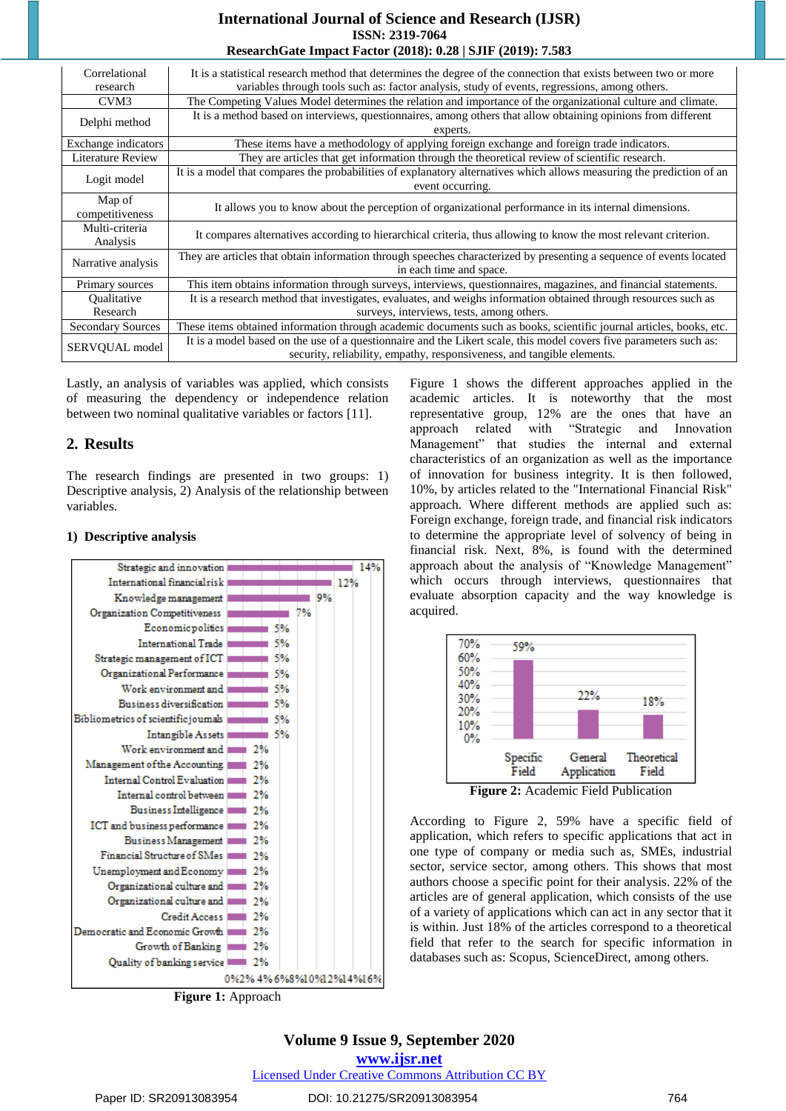#### **International Journal of Science and Research (IJSR) ISSN: 2319-7064 ResearchGate Impact Factor (2018): 0.28 | SJIF (2019): 7.583**

| Correlational            | It is a statistical research method that determines the degree of the connection that exists between two or more      |
|--------------------------|-----------------------------------------------------------------------------------------------------------------------|
| research                 | variables through tools such as: factor analysis, study of events, regressions, among others.                         |
| CVM3                     | The Competing Values Model determines the relation and importance of the organizational culture and climate.          |
| Delphi method            | It is a method based on interviews, questionnaires, among others that allow obtaining opinions from different         |
|                          | experts.                                                                                                              |
| Exchange indicators      | These items have a methodology of applying foreign exchange and foreign trade indicators.                             |
| Literature Review        | They are articles that get information through the theoretical review of scientific research.                         |
| Logit model              | It is a model that compares the probabilities of explanatory alternatives which allows measuring the prediction of an |
|                          | event occurring.                                                                                                      |
| Map of                   | It allows you to know about the perception of organizational performance in its internal dimensions.                  |
| competitiveness          |                                                                                                                       |
| Multi-criteria           | It compares alternatives according to hierarchical criteria, thus allowing to know the most relevant criterion.       |
| Analysis                 |                                                                                                                       |
| Narrative analysis       | They are articles that obtain information through speeches characterized by presenting a sequence of events located   |
|                          | in each time and space.                                                                                               |
| Primary sources          | This item obtains information through surveys, interviews, questionnaires, magazines, and financial statements.       |
| Qualitative              | It is a research method that investigates, evaluates, and weighs information obtained through resources such as       |
| Research                 | surveys, interviews, tests, among others.                                                                             |
| <b>Secondary Sources</b> | These items obtained information through academic documents such as books, scientific journal articles, books, etc.   |
| SERVQUAL model           | It is a model based on the use of a questionnaire and the Likert scale, this model covers five parameters such as:    |
|                          | security, reliability, empathy, responsiveness, and tangible elements.                                                |

Lastly, an analysis of variables was applied, which consists of measuring the dependency or independence relation between two nominal qualitative variables or factors [11].

# **2. Results**

The research findings are presented in two groups: 1) Descriptive analysis, 2) Analysis of the relationship between variables.

#### **1) Descriptive analysis**



**Figure 1:** Approach

Figure 1 shows the different approaches applied in the academic articles. It is noteworthy that the most representative group, 12% are the ones that have an approach related with "Strategic and Innovation Management" that studies the internal and external characteristics of an organization as well as the importance of innovation for business integrity. It is then followed, 10%, by articles related to the "International Financial Risk" approach. Where different methods are applied such as: Foreign exchange, foreign trade, and financial risk indicators to determine the appropriate level of solvency of being in financial risk. Next, 8%, is found with the determined approach about the analysis of "Knowledge Management" which occurs through interviews, questionnaires that evaluate absorption capacity and the way knowledge is acquired.



According to Figure 2, 59% have a specific field of application, which refers to specific applications that act in one type of company or media such as, SMEs, industrial sector, service sector, among others. This shows that most authors choose a specific point for their analysis. 22% of the articles are of general application, which consists of the use of a variety of applications which can act in any sector that it is within. Just 18% of the articles correspond to a theoretical field that refer to the search for specific information in databases such as: Scopus, ScienceDirect, among others.

# **Volume 9 Issue 9, September 2020**

**www.ijsr.net**

#### Licensed Under Creative Commons Attribution CC BY

#### Paper ID: SR20913083954 DOI: 10.21275/SR20913083954 764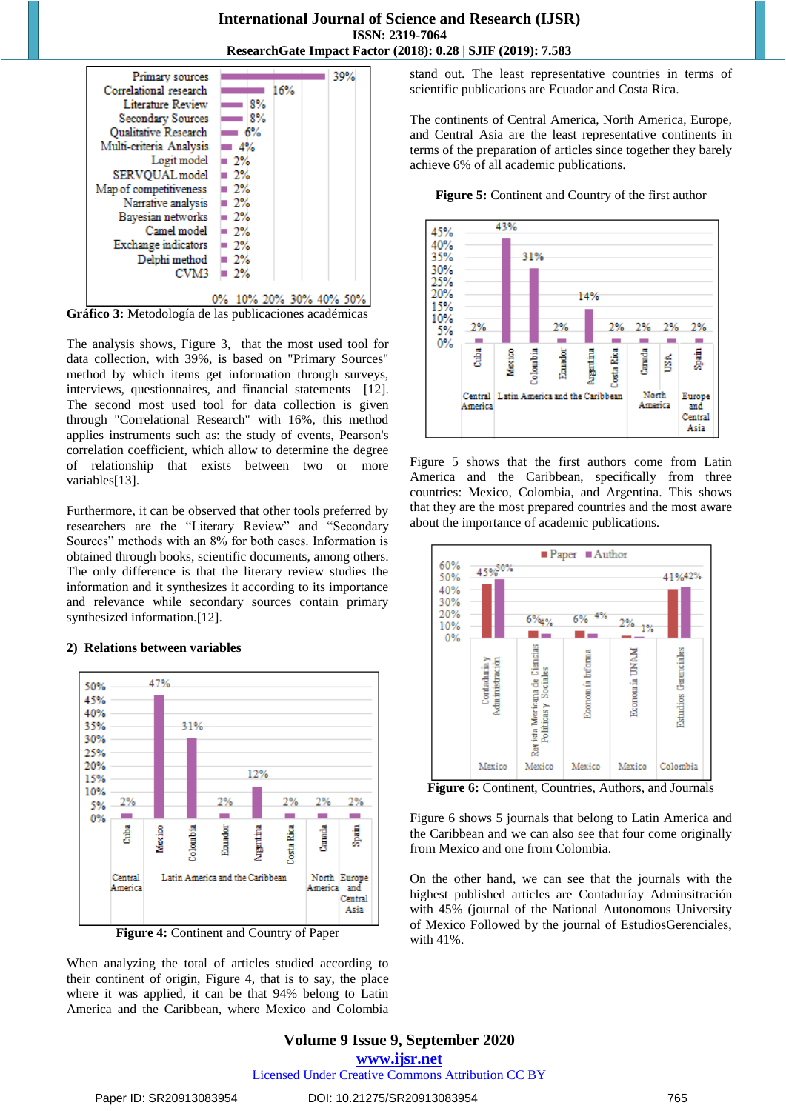

The analysis shows, Figure 3, that the most used tool for data collection, with 39%, is based on "Primary Sources" method by which items get information through surveys, interviews, questionnaires, and financial statements [12]. The second most used tool for data collection is given through "Correlational Research" with 16%, this method applies instruments such as: the study of events, Pearson's correlation coefficient, which allow to determine the degree of relationship that exists between two or more variables[13].

Furthermore, it can be observed that other tools preferred by researchers are the "Literary Review" and "Secondary Sources" methods with an 8% for both cases. Information is obtained through books, scientific documents, among others. The only difference is that the literary review studies the information and it synthesizes it according to its importance and relevance while secondary sources contain primary synthesized information.<sup>[12]</sup>.

#### **2) Relations between variables**



**Figure 4:** Continent and Country of Paper

When analyzing the total of articles studied according to their continent of origin, Figure 4, that is to say, the place where it was applied, it can be that 94% belong to Latin America and the Caribbean, where Mexico and Colombia

stand out. The least representative countries in terms of scientific publications are Ecuador and Costa Rica.

The continents of Central America, North America, Europe, and Central Asia are the least representative continents in terms of the preparation of articles since together they barely achieve 6% of all academic publications.





Figure 5 shows that the first authors come from Latin America and the Caribbean, specifically from three countries: Mexico, Colombia, and Argentina. This shows that they are the most prepared countries and the most aware about the importance of academic publications.



**Figure 6:** Continent, Countries, Authors, and Journals

Figure 6 shows 5 journals that belong to Latin America and the Caribbean and we can also see that four come originally from Mexico and one from Colombia.

On the other hand, we can see that the journals with the highest published articles are Contaduríay Adminsitración with 45% (journal of the National Autonomous University of Mexico Followed by the journal of EstudiosGerenciales, with 41%.

## **Volume 9 Issue 9, September 2020 www.ijsr.net**

Licensed Under Creative Commons Attribution CC BY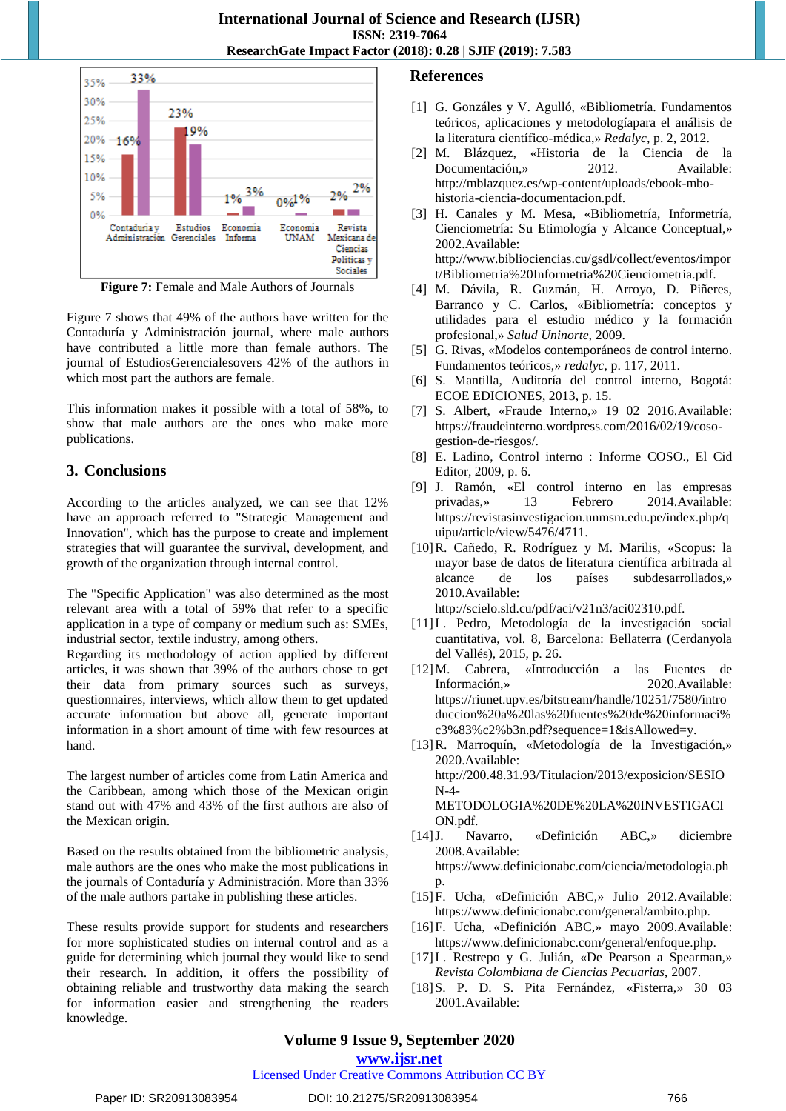

**Figure 7:** Female and Male Authors of Journals

Figure 7 shows that 49% of the authors have written for the Contaduría y Administración journal, where male authors have contributed a little more than female authors. The journal of EstudiosGerencialesovers 42% of the authors in which most part the authors are female.

This information makes it possible with a total of 58%, to show that male authors are the ones who make more publications.

# **3. Conclusions**

According to the articles analyzed, we can see that 12% have an approach referred to "Strategic Management and Innovation", which has the purpose to create and implement strategies that will guarantee the survival, development, and growth of the organization through internal control.

The "Specific Application" was also determined as the most relevant area with a total of 59% that refer to a specific application in a type of company or medium such as: SMEs, industrial sector, textile industry, among others.

Regarding its methodology of action applied by different articles, it was shown that 39% of the authors chose to get their data from primary sources such as surveys, questionnaires, interviews, which allow them to get updated accurate information but above all, generate important information in a short amount of time with few resources at hand.

The largest number of articles come from Latin America and the Caribbean, among which those of the Mexican origin stand out with 47% and 43% of the first authors are also of the Mexican origin.

Based on the results obtained from the bibliometric analysis, male authors are the ones who make the most publications in the journals of Contaduría y Administración. More than 33% of the male authors partake in publishing these articles.

These results provide support for students and researchers for more sophisticated studies on internal control and as a guide for determining which journal they would like to send their research. In addition, it offers the possibility of obtaining reliable and trustworthy data making the search for information easier and strengthening the readers knowledge.

# **References**

- [1] G. Gonzáles y V. Agulló, «Bibliometría. Fundamentos teóricos, aplicaciones y metodologíapara el análisis de la literatura científico-médica,» *Redalyc,* p. 2, 2012.
- [2] M. Blázquez, «Historia de la Ciencia de la Documentación,» 2012. Available: http://mblazquez.es/wp-content/uploads/ebook-mbohistoria-ciencia-documentacion.pdf.
- [3] H. Canales y M. Mesa, «Bibliometría, Informetría, Cienciometría: Su Etimología y Alcance Conceptual,» 2002.Available: http://www.bibliociencias.cu/gsdl/collect/eventos/impor
- t/Bibliometria%20Informetria%20Cienciometria.pdf. [4] M. Dávila, R. Guzmán, H. Arroyo, D. Piñeres, Barranco y C. Carlos, «Bibliometría: conceptos y utilidades para el estudio médico y la formación profesional,» *Salud Uninorte,* 2009.
- [5] G. Rivas, «Modelos contemporáneos de control interno. Fundamentos teóricos,» *redalyc,* p. 117, 2011.
- [6] S. Mantilla, Auditoría del control interno, Bogotá: ECOE EDICIONES, 2013, p. 15.
- [7] S. Albert, «Fraude Interno,» 19 02 2016.Available: https://fraudeinterno.wordpress.com/2016/02/19/cosogestion-de-riesgos/.
- [8] E. Ladino, Control interno : Informe COSO., El Cid Editor, 2009, p. 6.
- [9] J. Ramón, «El control interno en las empresas privadas,» 13 Febrero 2014.Available: https://revistasinvestigacion.unmsm.edu.pe/index.php/q uipu/article/view/5476/4711.
- [10]R. Cañedo, R. Rodríguez y M. Marilis, «Scopus: la mayor base de datos de literatura científica arbitrada al alcance de los países subdesarrollados,» 2010.Available:

http://scielo.sld.cu/pdf/aci/v21n3/aci02310.pdf.

- [11]L. Pedro, Metodología de la investigación social cuantitativa, vol. 8, Barcelona: Bellaterra (Cerdanyola del Vallés), 2015, p. 26.
- [12]M. Cabrera, «Introducción a las Fuentes de Información,» 2020.Available: https://riunet.upv.es/bitstream/handle/10251/7580/intro duccion%20a%20las%20fuentes%20de%20informaci% c3%83%c2%b3n.pdf?sequence=1&isAllowed=y.
- [13]R. Marroquín, «Metodología de la Investigación,» 2020.Available: http://200.48.31.93/Titulacion/2013/exposicion/SESIO N-4- METODOLOGIA%20DE%20LA%20INVESTIGACI ON.pdf.
- [14]J. Navarro, «Definición ABC,» diciembre 2008.Available: https://www.definicionabc.com/ciencia/metodologia.ph p.
- [15]F. Ucha, «Definición ABC,» Julio 2012.Available: https://www.definicionabc.com/general/ambito.php.
- [16]F. Ucha, «Definición ABC,» mayo 2009.Available: https://www.definicionabc.com/general/enfoque.php.
- [17]L. Restrepo y G. Julián, «De Pearson a Spearman,» *Revista Colombiana de Ciencias Pecuarias,* 2007.
- [18]S. P. D. S. Pita Fernández, «Fisterra,» 30 03 2001.Available:

# **Volume 9 Issue 9, September 2020**

**www.ijsr.net**

Licensed Under Creative Commons Attribution CC BY